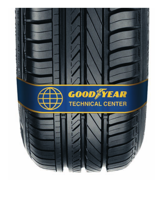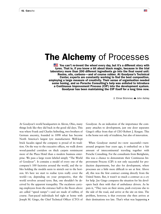# **The Alchemy** of Processes

You can't re-invent the wheel every day, but it's a different story with tyres. That is, if you know a bit about black magic, because in the trial laboratory more than 200 different ingredients go into the final round unit: Resins, oils, carbons—and of course rubber. At Goodyear's Technical Center, experts are constantly working to find the best composition, employing a large measure of creativity. Their sense of organisation needed some honing, and so Porsche Consulting's help was enlisted to introduce a Continuous Improvement Process (CIP) into the development system. Goodyear has been maintaining the CIP itself for a long time now.

E Elmar Brümmer, a John Ashley

 $\equiv$ 

At Goodyear's world headquarters in Akron, Ohio, many things look like they did back in the good old days. This was where Frank and Charles Seiberling, two brothers of German ancestry, founded in 1898 what has become North America's largest tyre manufacturer. Well-kept brick facades signal the company is proud of its tradition. On the way to the executive offices, we walk down wood-paneled corridors on thick carpets reminiscent more of the Plaza Hotel than a modern business enterprise. We pass a large room labeled simply "The World of Goodyear". It contains a model of every one of the company's 100 factories around the world, and the tables holding the models seem to stretch out to the horizon. It's here we start to realise tyres really cover the world—or, depending on your perspective, that the world revolves around tyres. But, one shouldn't be deceived by the apparent tranquility. The escalators carrying employees from the entrance hall to the floors above are called "speed ramps"—and are made of rubber, of course. Fast-paced individuals feel right at home with Joseph M. Gingo, the Chief Technical Officer (CTO) of Goodyear. As an indication of the importance the company attaches to development, just one door separates Gingo's office from that of CEO Robert J. Keegan. This is the home not only of tradition, but also of innovation.

When Goodyear started its—now successful—turnaround program four years ago, it embarked on a fair amount of intercontinental traveling together with Porsche Consulting. For the consultants from Bietigheim, this was a chance to demonstrate their Continuous Improvement Process (CIP) is not only successful for production departments, but also for development, where processes are a little more difficult to see at first. Above all, this was the first contract coming directly from the United States. But, it wasn't so much a contract as a cry for help. Joe Gingo compares the situation for his developers back then with that of ambulance drivers. As he puts it, "They turn on their sirens, push everyone else to the side of the road, and arrive at the site on time. The problem, however, is that everyone else then arrives at their destinations too late. That's what was happening  $\rho$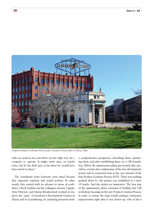

Tradition behind a well-kept brick facade: Goodyear's head office in Akron, Ohio

with our projects too, but that's not the right way for a company to operate. It might work once, or maybe twice, but by the third year at the latest we would have been mired in chaos."

三

The consultants from Germany were hired because they represent expertise and sound systems. In other words, they started with an advance in terms of confidence. Ulrich Guddat and his colleagues Simone Cigada, Arne Petersen, and Darius Khodawandi worked to improve the "grip" of Goodyear's Development Centers in Akron and in Luxembourg, by analysing processes from

a comprehensive perspective, describing them, optimising them, and then establishing them on a CIP foundation. Before the optimisation phase got started, they provided a crystal-clear explanation of the lean development system and its renowned map as the core element of the lean Product Creation Process (PCP). There was nothing gradual about it—the project was completed in a mere 19 weeks. And the results are impressive. The first step of the optimisation phase consisted of holding four CIP workshops focusing on the new Product Creation Process, in order to ensure the map would undergo continuous improvement right after it was drawn up. One of the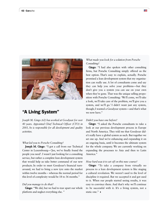

# "A Living System"

*Joseph M. Gingo (62) has worked at Goodyear for over 40 years. Appointed Chief Technical Officer (CTO) in 2003, he is responsible for all development and quality activities.*

# *What led you to Porsche Consulting?*

Joseph M. Gingo: "I got a call from our Technical Center in Luxembourg—'Joe, we've finally found the people you need'. I wasn't just looking for a consulting service, but rather a complete lean development system that would help us take better command of our new products. In order to meet Goodyear's financial turnaround, we had to bring a new tyre onto the market within twelve months – whereas the normal period for this level of complexity would be 18 to 36 months."

#### *Did you manage to do that?*

Gingo: "We did, but we had to tear apart our whole platform and neglect everything else. "

# *What made you look for a solution from Porsche Consulting?*

 $\equiv$ 

Gingo: "I had also spoken with other consulting firms, but Porsche Consulting simply offered us the best option. That's easy to explain, actually. Porsche promised a lean development system that my organisation can really use. A lot of consultants come and say they can help you solve your problems—but they don't give you a system you can use on your own when they're gone. That was the unique selling proposition with Porsche Consulting: 'We'll come, we'll take a look, we'll take care of the problem, we'll give you a system, and we'll go.' I didn't want just any system, though; I wanted a Goodyear system—and that's what we now have."

#### *Didn't you have one before?*

Gingo: "I asked the Porsche consultants to take a look at our previous development process in Europe and North America. They told me that Goodyear didn't really have a global system as such. But together we set one up. And we're enhancing and expanding it on an ongoing basis, until it becomes the ultimate system for the whole company. We are currently working on expanding the processes to Asia and then to Latin America."

#### *How hard was it to set off on this new course?*

Gingo: "To take a company from virtually no process to a lean development system is like staging a cultural revolution. We weren't used to the level of discipline it required. But we accepted it and got used to it. When our people started seeing results, it was easy to convince them. And that's why we'll continue to be successful with it. It's a living system, not a static one."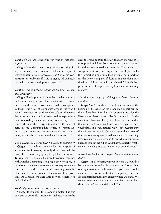*What role do the tools play for you in this new approach?*

E

Gingo: "Goodyear has a long history of using Six Sigma. Let me put it this way: The lean development system concentrates on processes, and Six Sigma concentrates on problems. If I did it again, I'd definitely start with the lean development system…"

# *What do you find special about the Porsche Consulting's approach?*

Gingo: "I'm impressed by how Porsche has westernized the Kaizen principles. I'm familiar with Japanese theories, and I've seen how they're used by companies in Japan. But a lot of companies around the world haven't managed to use them. One cultural difference lies in the fact that you don't even need to explain lean processes to the Japanese anymore, because they've anchored them in their corporate cultures. It's different here. Porsche Consulting has created a systems approach that everyone can understand; and what's more, we can also document and teach this system."

# *Was it hard for you to give them full access to everything?*

Gingo: "If you hire someone for the purpose of achieving certain results, but only show them half the data, then you're only going to get half the results. Transparency is crucial. I enjoyed working together with Porsche Consulting. The people are very open, so our discussions were also open, and consequently very constructive. Neither side concealed anything from the other side. Everyone presented their views of the problems. As a result, we were able to work together to find solutions."

# *What support did you have to give them?*

Gingo: "If you want to introduce a system like this one, you've got to do it from very high up. It has to be clear to everyone from the start that anyone who tries to oppose it will lose. So no one tried to work against it, and no one missed the meetings. The fact that I was present at every meeting set the tone. If Joe thinks this project is important, then it must be important for the whole company. If decision makers don't take the time to follow through, they shouldn't launch their projects in the first place—they'll just end up wasting money."

# *Has this lean way of thinking established itself at Goodyear?*

Gingo: "We're much better at it than we were in the beginning. It's easier for the production department to think along lean lines, but it's completely new for the Research & Development (R&D) community. In the meantime, however, I've got a leadership team that thinks only in lean terms. It has become a part of their vocabulary, in a very natural way—not because they think I want to hear it. Once you taste the success of this development system, you don't want to do anything else. You start looking around to see what other excess baggage you can get rid of. And that was exactly what I wanted, namely processes that increase our efficiency."

# *If you look back at the project, how would you sum it up?*

Gingo: "In all honesty, without Porsche we wouldn't be where we are today. Porsche took us further than our organisation actually wanted to go. Their consultants have experience with other companies; they can do comparisons that show exactly where we stand. We weren't even in a position to do that. And the numbers show that we're on the right track."  $\triangleleft$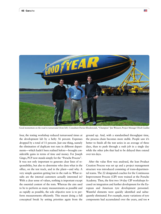

Good momentum on the road to turnaround (from left): Consultant Darius Khodawandi, "Champion" Jim Weissert, Project Manager Ulrich Guddat

four, the testing workshop reduced turnaround times at the development lab by a hefty 56 percent. Expenses dropped by a total of 11 percent. Just one thing, namely the elimination of duplicate test runs in different departments—which hadn't been realised before—brought considerable gains in terms of time and money. For Joseph Gingo, PCP now stands simply for the "Porsche Process". It was not only important to generate clear lines of responsibility, but also to determine who does what in the office, on the test track, and in the plant—and why. A very simple question getting lost in the rush is: What results are the internal customers actually interested in? With a clear sense of values, nothing is important except the essential content of the tests. Whereas the aim used to be to perform as many measurements as possible and as rapidly as possible, the sole objective now is to perform measurements efficiently. This meant doing a full conceptual break by setting priorities again from the

ground up. And, with a standardised throughput time, the process chain becomes more stable. People saw it's better to finish all the test series in an average of three days, than to push through a rush job in a single day while the other jobs that had to be delayed then extend over ten days.

 $\equiv$ 

After the value flow was analysed, the lean Product Creation Process was set up and a project management structure was introduced consisting of trans-departmental teams. The 22 designated coaches for the Continuous Improvement Process (CIP) were trained at the Porsche Academy. Then, the first two 14-day CIP workshops focused on integration and further development for the European and American tyre development personnel. Wasteful elements were quickly identified and subsequently eliminated. For example, many variations of tyre components had accumulated over the years, and too A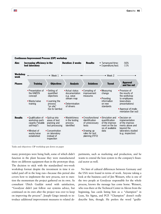

Tasks and objectives: CIP workshop put down on paper

many prototypes were being built, some of which didn't function in the plant because they were manufactured there on different equipment than in the prototype shop. The decision to stick with the standardised two-week workshop format despite the investment in time it entailed paid off in the long run—because this period also covers how to implement the new process, not to mention the momentum the project gathered on its own. As consultant Ulrich Guddat noted with satisfaction, "Goodyear didn't just follow our systems advice, but continued on its own after the project was over to keep on improving the process". Joseph Gingo intends to introduce additional improvement measures to related departments, such as marketing and production, and he wants to extend the lean system to the company's financial sector as well.

No hint of cultural differences between Germany and the USA were found in terms of work. Anyone taking a look at the business card of Jim Weissert, who is one of the two people at Goodyear responsible for the whole process, knows the message has come home. Weissert, who was there at the Technical Center in Akron from the beginning, has cards listing him as a "champion" in Lean, Six Sigma, and PCP. "Champion" doesn't really describe him, though. He prefers the word "godfa-

E